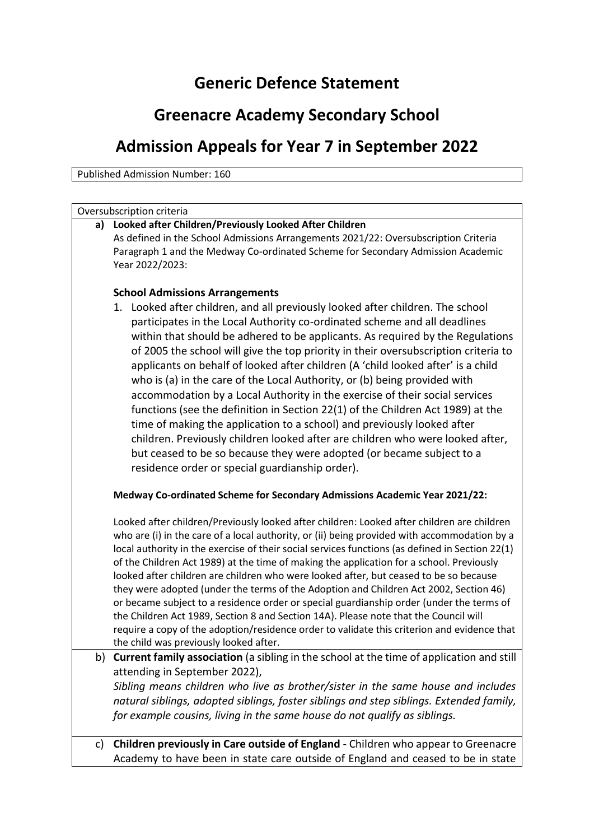## **Generic Defence Statement**

## **Greenacre Academy Secondary School**

## **Admission Appeals for Year 7 in September 2022**

Published Admission Number: 160

| Oversubscription criteria |                                                                                                                                                                                                                                                                                                                                                                                                                                                                                                                                                                                                                                                                                                                                                                                                                                                                                                                                                                                                           |
|---------------------------|-----------------------------------------------------------------------------------------------------------------------------------------------------------------------------------------------------------------------------------------------------------------------------------------------------------------------------------------------------------------------------------------------------------------------------------------------------------------------------------------------------------------------------------------------------------------------------------------------------------------------------------------------------------------------------------------------------------------------------------------------------------------------------------------------------------------------------------------------------------------------------------------------------------------------------------------------------------------------------------------------------------|
|                           | a) Looked after Children/Previously Looked After Children<br>As defined in the School Admissions Arrangements 2021/22: Oversubscription Criteria<br>Paragraph 1 and the Medway Co-ordinated Scheme for Secondary Admission Academic<br>Year 2022/2023:                                                                                                                                                                                                                                                                                                                                                                                                                                                                                                                                                                                                                                                                                                                                                    |
|                           | <b>School Admissions Arrangements</b><br>1. Looked after children, and all previously looked after children. The school<br>participates in the Local Authority co-ordinated scheme and all deadlines<br>within that should be adhered to be applicants. As required by the Regulations<br>of 2005 the school will give the top priority in their oversubscription criteria to<br>applicants on behalf of looked after children (A 'child looked after' is a child<br>who is (a) in the care of the Local Authority, or (b) being provided with<br>accommodation by a Local Authority in the exercise of their social services<br>functions (see the definition in Section 22(1) of the Children Act 1989) at the<br>time of making the application to a school) and previously looked after<br>children. Previously children looked after are children who were looked after,<br>but ceased to be so because they were adopted (or became subject to a<br>residence order or special guardianship order). |
|                           | Medway Co-ordinated Scheme for Secondary Admissions Academic Year 2021/22:                                                                                                                                                                                                                                                                                                                                                                                                                                                                                                                                                                                                                                                                                                                                                                                                                                                                                                                                |
|                           | Looked after children/Previously looked after children: Looked after children are children<br>who are (i) in the care of a local authority, or (ii) being provided with accommodation by a<br>local authority in the exercise of their social services functions (as defined in Section 22(1)<br>of the Children Act 1989) at the time of making the application for a school. Previously<br>looked after children are children who were looked after, but ceased to be so because<br>they were adopted (under the terms of the Adoption and Children Act 2002, Section 46)<br>or became subject to a residence order or special guardianship order (under the terms of<br>the Children Act 1989, Section 8 and Section 14A). Please note that the Council will<br>require a copy of the adoption/residence order to validate this criterion and evidence that<br>the child was previously looked after.                                                                                                  |
| b)                        | Current family association (a sibling in the school at the time of application and still<br>attending in September 2022),<br>Sibling means children who live as brother/sister in the same house and includes<br>natural siblings, adopted siblings, foster siblings and step siblings. Extended family,<br>for example cousins, living in the same house do not qualify as siblings.                                                                                                                                                                                                                                                                                                                                                                                                                                                                                                                                                                                                                     |
|                           |                                                                                                                                                                                                                                                                                                                                                                                                                                                                                                                                                                                                                                                                                                                                                                                                                                                                                                                                                                                                           |

c) **Children previously in Care outside of England** - Children who appear to Greenacre Academy to have been in state care outside of England and ceased to be in state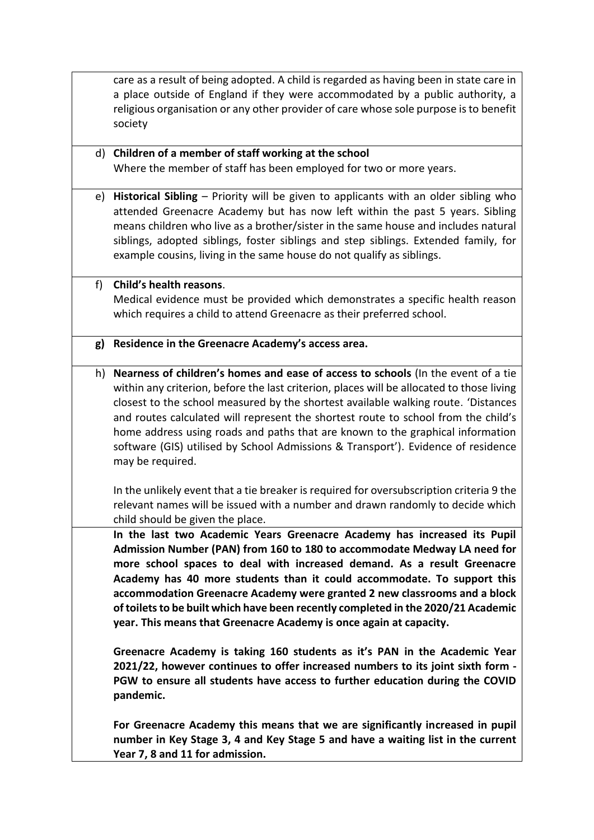care as a result of being adopted. A child is regarded as having been in state care in a place outside of England if they were accommodated by a public authority, a religious organisation or any other provider of care whose sole purpose is to benefit society

- d) **Children of a member of staff working at the school** Where the member of staff has been employed for two or more years.
- e) **Historical Sibling** Priority will be given to applicants with an older sibling who attended Greenacre Academy but has now left within the past 5 years. Sibling means children who live as a brother/sister in the same house and includes natural siblings, adopted siblings, foster siblings and step siblings. Extended family, for example cousins, living in the same house do not qualify as siblings.
- f) **Child's health reasons**. Medical evidence must be provided which demonstrates a specific health reason which requires a child to attend Greenacre as their preferred school.
- **g) Residence in the Greenacre Academy's access area.**
- h) **Nearness of children's homes and ease of access to schools** (In the event of a tie within any criterion, before the last criterion, places will be allocated to those living closest to the school measured by the shortest available walking route. 'Distances and routes calculated will represent the shortest route to school from the child's home address using roads and paths that are known to the graphical information software (GIS) utilised by School Admissions & Transport'). Evidence of residence may be required.

In the unlikely event that a tie breaker is required for oversubscription criteria 9 the relevant names will be issued with a number and drawn randomly to decide which child should be given the place.

**In the last two Academic Years Greenacre Academy has increased its Pupil Admission Number (PAN) from 160 to 180 to accommodate Medway LA need for more school spaces to deal with increased demand. As a result Greenacre Academy has 40 more students than it could accommodate. To support this accommodation Greenacre Academy were granted 2 new classrooms and a block of toilets to be built which have been recently completed in the 2020/21 Academic year. This means that Greenacre Academy is once again at capacity.**

**Greenacre Academy is taking 160 students as it's PAN in the Academic Year 2021/22, however continues to offer increased numbers to its joint sixth form - PGW to ensure all students have access to further education during the COVID pandemic.**

**For Greenacre Academy this means that we are significantly increased in pupil number in Key Stage 3, 4 and Key Stage 5 and have a waiting list in the current Year 7, 8 and 11 for admission.**